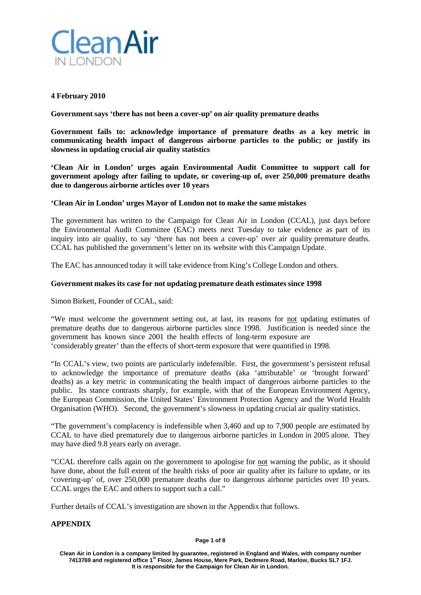

# **4 February 2010**

**Government says 'there has not been a cover-up' on air quality premature deaths**

**Government fails to: acknowledge importance of premature deaths as a key metric in communicating health impact of dangerous airborne particles to the public; or justify its slowness in updating crucial air quality statistics**

**'Clean Air in London' urges again Environmental Audit Committee to support call for government apology after failing to update, or covering-up of, over 250,000 premature deaths due to dangerous airborne articles over 10 years**

# **'Clean Air in London' urges Mayor of London not to make the same mistakes**

The government has written to the Campaign for Clean Air in London (CCAL), just days before the Environmental Audit Committee (EAC) meets next Tuesday to take evidence as part of its inquiry into air quality, to say 'there has not been a cover-up' over air quality premature deaths. CCAL has published the government's letter on its website with this Campaign Update.

The EAC has announced today it will take evidence from King's College London and others.

# **Government makes its case for not updating premature death estimates since 1998**

Simon Birkett, Founder of CCAL, said:

"We must welcome the government setting out, at last, its reasons for not updating estimates of premature deaths due to dangerous airborne particles since 1998. Justification is needed since the government has known since 2001 the health effects of long-term exposure are 'considerably greater' than the effects of short-term exposure that were quantified in 1998.

"In CCAL's view, two points are particularly indefensible. First, the government's persistent refusal to acknowledge the importance of premature deaths (aka 'attributable' or 'brought forward' deaths) as a key metric in communicating the health impact of dangerous airborne particles to the public. Its stance contrasts sharply, for example, with that of the European Environment Agency, the European Commission, the United States' Environment Protection Agency and the World Health Organisation (WHO). Second, the government's slowness in updating crucial air quality statistics.

"The government's complacency is indefensible when 3,460 and up to 7,900 people are estimated by CCAL to have died prematurely due to dangerous airborne particles in London in 2005 alone. They may have died 9.8 years early on average.

"CCAL therefore calls again on the government to apologise for not warning the public, as it should have done, about the full extent of the health risks of poor air quality after its failure to update, or its 'covering-up' of, over 250,000 premature deaths due to dangerous airborne particles over 10 years. CCAL urges the EAC and others to support such a call."

Further details of CCAL's investigation are shown in the Appendix that follows.

# **APPENDIX**

#### **Page 1 of 8**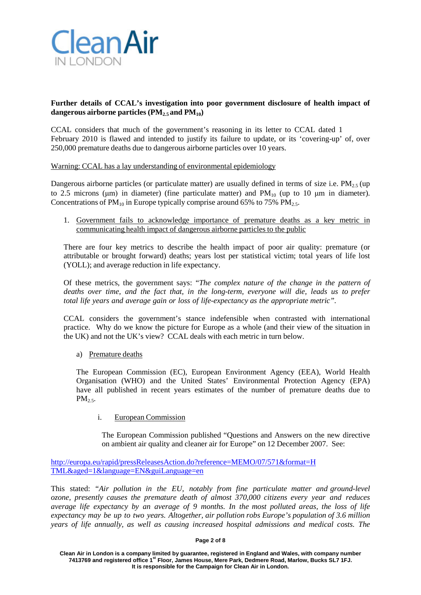

# **Further details of CCAL's investigation into poor government disclosure of health impact of dangerous airborne particles (PM2.5 and PM10)**

CCAL considers that much of the government's reasoning in its letter to CCAL dated 1 February 2010 is flawed and intended to justify its failure to update, or its 'covering-up' of, over 250,000 premature deaths due to dangerous airborne particles over 10 years.

# Warning: CCAL has a lay understanding of environmental epidemiology

Dangerous airborne particles (or particulate matter) are usually defined in terms of size i.e.  $PM_{2.5}$  (up to 2.5 microns (μm) in diameter) (fine particulate matter) and  $PM_{10}$  (up to 10 μm in diameter). Concentrations of  $PM_{10}$  in Europe typically comprise around 65% to 75%  $PM_{2.5}$ .

1. Government fails to acknowledge importance of premature deaths as a key metric in communicating health impact of dangerous airborne particles to the public

There are four key metrics to describe the health impact of poor air quality: premature (or attributable or brought forward) deaths; years lost per statistical victim; total years of life lost (YOLL); and average reduction in life expectancy.

Of these metrics, the government says: "*The complex nature of the change in the pattern of deaths over time, and the fact that, in the long-term, everyone will die, leads us to prefer total life years and average gain or loss of life-expectancy as the appropriate metric".*

CCAL considers the government's stance indefensible when contrasted with international practice. Why do we know the picture for Europe as a whole (and their view of the situation in the UK) and not the UK's view? CCAL deals with each metric in turn below.

a) Premature deaths

The European Commission (EC), European Environment Agency (EEA), World Health Organisation (WHO) and the United States' Environmental Protection Agency (EPA) have all published in recent years estimates of the number of premature deaths due to  $PM<sub>2.5</sub>$ .

i. European Commission

The European Commission published "Questions and Answers on the new directive on ambient air quality and cleaner air for Europe" on 12 December 2007. See:

[http://europa.eu/rapid/pressReleasesAction.do?reference=MEMO/07/571&format=H](http://europa.eu/rapid/pressReleasesAction.do?reference=MEMO/07/571&format=H%20TML&aged=1&language=EN&guiLanguage=en) [TML&aged=1&language=EN&guiLanguage=en](http://europa.eu/rapid/pressReleasesAction.do?reference=MEMO/07/571&format=H%20TML&aged=1&language=EN&guiLanguage=en)

This stated: *"Air pollution in the EU, notably from fine particulate matter and ground-level ozone, presently causes the premature death of almost 370,000 citizens every year and reduces average life expectancy by an average of 9 months. In the most polluted areas, the loss of life expectancy may be up to two years. Altogether, air pollution robs Europe's population of 3.6 million years of life annually, as well as causing increased hospital admissions and medical costs. The*

#### **Page 2 of 8**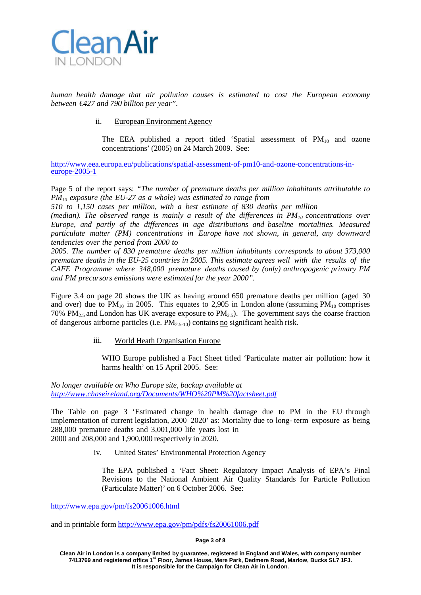

*human health damage that air pollution causes is estimated to cost the European economy between €427 and 790 billion per year".*

ii. European Environment Agency

The EEA published a report titled 'Spatial assessment of  $PM_{10}$  and ozone concentrations' (2005) on 24 March 2009. See:

[http://www.eea.europa.eu/publications/spatial-assessment-of-pm10-and-ozone-concentrations-in-](http://www.eea.europa.eu/publications/spatial-assessment-of-pm10-and-ozone-concentrations-in-europe-2005-1) [europe-2005-1](http://www.eea.europa.eu/publications/spatial-assessment-of-pm10-and-ozone-concentrations-in-europe-2005-1)

Page 5 of the report says: *"The number of premature deaths per million inhabitants attributable to PM10 exposure (the EU-27 as a whole) was estimated to range from*

*510 to 1,150 cases per million, with a best estimate of 830 deaths per million*

*(median). The observed range is mainly a result of the differences in PM10 concentrations over Europe, and partly of the differences in age distributions and baseline mortalities. Measured particulate matter (PM) concentrations in Europe have not shown, in general, any downward tendencies over the period from 2000 to*

*2005. The number of 830 premature deaths per million inhabitants corresponds to about 373,000 premature deaths in the EU-25 countries in 2005. This estimate agrees well with the results of the CAFE Programme where 348,000 premature deaths caused by (only) anthropogenic primary PM and PM precursors emissions were estimated for the year 2000".*

Figure 3.4 on page 20 shows the UK as having around 650 premature deaths per million (aged 30 and over) due to  $PM_{10}$  in 2005. This equates to 2,905 in London alone (assuming  $PM_{10}$  comprises 70% PM<sub>2.5</sub> and London has UK average exposure to PM<sub>2.5</sub>). The government says the coarse fraction of dangerous airborne particles (i.e.  $PM<sub>2.5-10</sub>$ ) contains no significant health risk.

iii. World Heath Organisation Europe

WHO Europe published a Fact Sheet titled 'Particulate matter air pollution: how it harms health' on 15 April 2005. See:

*No longer available on Who Europe site, backup available at <http://www.chaseireland.org/Documents/WHO%20PM%20factsheet.pdf>*

The Table on page 3 'Estimated change in health damage due to PM in the EU through implementation of current legislation, 2000–2020' as: Mortality due to long- term exposure as being 288,000 premature deaths and 3,001,000 life years lost in 2000 and 208,000 and 1,900,000 respectively in 2020.

iv. United States' Environmental Protection Agency

The EPA published a 'Fact Sheet: Regulatory Impact Analysis of EPA's Final Revisions to the National Ambient Air Quality Standards for Particle Pollution (Particulate Matter)' on 6 October 2006. See:

<http://www.epa.gov/pm/fs20061006.html>

and in printable form <http://www.epa.gov/pm/pdfs/fs20061006.pdf>

#### **Page 3 of 8**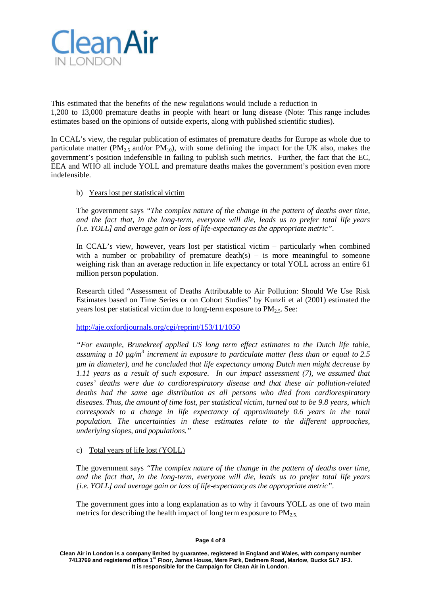

This estimated that the benefits of the new regulations would include a reduction in 1,200 to 13,000 premature deaths in people with heart or lung disease (Note: This range includes estimates based on the opinions of outside experts, along with published scientific studies).

In CCAL's view, the regular publication of estimates of premature deaths for Europe as whole due to particulate matter ( $PM_{2.5}$  and/or  $PM_{10}$ ), with some defining the impact for the UK also, makes the government's position indefensible in failing to publish such metrics. Further, the fact that the EC, EEA and WHO all include YOLL and premature deaths makes the government's position even more indefensible.

# b) Years lost per statistical victim

The government says *"The complex nature of the change in the pattern of deaths over time, and the fact that, in the long-term, everyone will die, leads us to prefer total life years [i.e. YOLL] and average gain or loss of life-expectancy as the appropriate metric"*.

In CCAL's view, however, years lost per statistical victim – particularly when combined with a number or probability of premature death(s) – is more meaningful to someone weighing risk than an average reduction in life expectancy or total YOLL across an entire 61 million person population.

Research titled "Assessment of Deaths Attributable to Air Pollution: Should We Use Risk Estimates based on Time Series or on Cohort Studies" by Kunzli et al (2001) estimated the years lost per statistical victim due to long-term exposure to  $PM_2$ . See:

<http://aje.oxfordjournals.org/cgi/reprint/153/11/1050>

*"For example, Brunekreef applied US long term effect estimates to the Dutch life table, assuming a 10* μ*g/m3 increment in exposure to particulate matter (less than or equal to 2.5* μ*m in diameter), and he concluded that life expectancy among Dutch men might decrease by 1.11 years as a result of such exposure. In our impact assessment (7), we assumed that cases' deaths were due to cardiorespiratory disease and that these air pollution-related deaths had the same age distribution as all persons who died from cardiorespiratory diseases. Thus, the amount of time lost, per statistical victim, turned out to be 9.8 years, which corresponds to a change in life expectancy of approximately 0.6 years in the total population. The uncertainties in these estimates relate to the different approaches, underlying slopes, and populations."*

# c) Total years of life lost (YOLL)

The government says *"The complex nature of the change in the pattern of deaths over time, and the fact that, in the long-term, everyone will die, leads us to prefer total life years [i.e. YOLL] and average gain or loss of life-expectancy as the appropriate metric"*.

The government goes into a long explanation as to why it favours YOLL as one of two main metrics for describing the health impact of long term exposure to  $PM_{2.5}$ .

**Clean Air in London is a company limited by guarantee, registered in England and Wales, with company number 7413769 and registered office 1st Floor, James House, Mere Park, Dedmere Road, Marlow, Bucks SL7 1FJ. It is responsible for the Campaign for Clean Air in London.**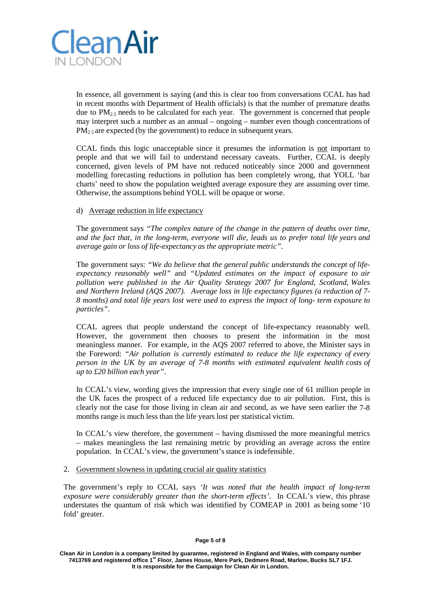

In essence, all government is saying (and this is clear too from conversations CCAL has had in recent months with Department of Health officials) is that the number of premature deaths due to  $PM<sub>2.5</sub>$  needs to be calculated for each year. The government is concerned that people may interpret such a number as an annual – ongoing – number even though concentrations of  $PM<sub>2.5</sub>$  are expected (by the government) to reduce in subsequent years.

CCAL finds this logic unacceptable since it presumes the information is not important to people and that we will fail to understand necessary caveats. Further, CCAL is deeply concerned, given levels of PM have not reduced noticeably since 2000 and government modelling forecasting reductions in pollution has been completely wrong, that YOLL 'bar charts' need to show the population weighted average exposure they are assuming over time. Otherwise, the assumptions behind YOLL will be opaque or worse.

# d) Average reduction in life expectancy

The government says *"The complex nature of the change in the pattern of deaths over time, and the fact that, in the long-term, everyone will die, leads us to prefer total life years and average gain or loss of life-expectancy as the appropriate metric"*.

The government says: *"We do believe that the general public understands the concept of lifeexpectancy reasonably well"* and *"Updated estimates on the impact of exposure to air pollution were published in the Air Quality Strategy 2007 for England, Scotland, Wales and Northern Ireland (AQS 2007). Average loss in life expectancy figures (a reduction of 7- 8 months) and total life years lost were used to express the impact of long- term exposure to particles"*.

CCAL agrees that people understand the concept of life-expectancy reasonably well. However, the government then chooses to present the information in the most meaningless manner. For example, in the AQS 2007 referred to above, the Minister says in the Foreword: *"Air pollution is currently estimated to reduce the life expectancy of every person in the UK by an average of 7-8 months with estimated equivalent health costs of up to £20 billion each year"*.

In CCAL's view, wording gives the impression that every single one of 61 million people in the UK faces the prospect of a reduced life expectancy due to air pollution. First, this is clearly not the case for those living in clean air and second, as we have seen earlier the 7-8 months range is much less than the life years lost per statistical victim.

In CCAL's view therefore, the government – having dismissed the more meaningful metrics – makes meaningless the last remaining metric by providing an average across the entire population. In CCAL's view, the government's stance is indefensible.

# 2. Government slowness in updating crucial air quality statistics

The government's reply to CCAL says *'It was noted that the health impact of long-term exposure were considerably greater than the short-term effects'*. In CCAL's view, this phrase understates the quantum of risk which was identified by COMEAP in 2001 as being some '10 fold' greater.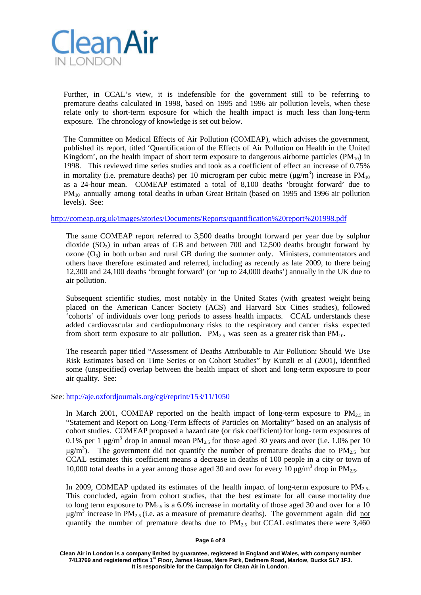

Further, in CCAL's view, it is indefensible for the government still to be referring to premature deaths calculated in 1998, based on 1995 and 1996 air pollution levels, when these relate only to short-term exposure for which the health impact is much less than long-term exposure. The chronology of knowledge is set out below.

The Committee on Medical Effects of Air Pollution (COMEAP), which advises the government, published its report, titled 'Quantification of the Effects of Air Pollution on Health in the United Kingdom', on the health impact of short term exposure to dangerous airborne particles  $(PM_{10})$  in 1998. This reviewed time series studies and took as a coefficient of effect an increase of 0.75% in mortality (i.e. premature deaths) per 10 microgram per cubic metre ( $\mu$ g/m<sup>3</sup>) increase in PM<sub>10</sub> as a 24-hour mean. COMEAP estimated a total of 8,100 deaths 'brought forward' due to PM<sub>10</sub> annually among total deaths in urban Great Britain (based on 1995 and 1996 air pollution levels). See:

# <http://comeap.org.uk/images/stories/Documents/Reports/quantification%20report%201998.pdf>

The same COMEAP report referred to 3,500 deaths brought forward per year due by sulphur dioxide  $(SO<sub>2</sub>)$  in urban areas of GB and between 700 and 12,500 deaths brought forward by ozone  $(O_3)$  in both urban and rural GB during the summer only. Ministers, commentators and others have therefore estimated and referred, including as recently as late 2009, to there being 12,300 and 24,100 deaths 'brought forward' (or 'up to 24,000 deaths') annually in the UK due to air pollution.

Subsequent scientific studies, most notably in the United States (with greatest weight being placed on the American Cancer Society (ACS) and Harvard Six Cities studies), followed 'cohorts' of individuals over long periods to assess health impacts. CCAL understands these added cardiovascular and cardiopulmonary risks to the respiratory and cancer risks expected from short term exposure to air pollution.  $PM_{2.5}$  was seen as a greater risk than  $PM_{10}$ .

The research paper titled "Assessment of Deaths Attributable to Air Pollution: Should We Use Risk Estimates based on Time Series or on Cohort Studies" by Kunzli et al (2001), identified some (unspecified) overlap between the health impact of short and long-term exposure to poor air quality. See:

### See: <http://aje.oxfordjournals.org/cgi/reprint/153/11/1050>

In March 2001, COMEAP reported on the health impact of long-term exposure to  $PM_{2.5}$  in "Statement and Report on Long-Term Effects of Particles on Mortality" based on an analysis of cohort studies. COMEAP proposed a hazard rate (or risk coefficient) for long- term exposures of 0.1% per 1  $\mu$ g/m<sup>3</sup> drop in annual mean PM<sub>2.5</sub> for those aged 30 years and over (i.e. 1.0% per 10  $\mu$ g/m<sup>3</sup>). The government did <u>not</u> quantify the number of premature deaths due to PM<sub>2.5</sub> but CCAL estimates this coefficient means a decrease in deaths of 100 people in a city or town of 10,000 total deaths in a year among those aged 30 and over for every 10  $\mu$ g/m<sup>3</sup> drop in PM<sub>2.5</sub>.

In 2009, COMEAP updated its estimates of the health impact of long-term exposure to  $PM_{2.5}$ . This concluded, again from cohort studies, that the best estimate for all cause mortality due to long term exposure to  $PM_{2.5}$  is a 6.0% increase in mortality of those aged 30 and over for a 10  $\mu$ g/m<sup>3</sup> increase in PM<sub>2.5</sub> (i.e. as a measure of premature deaths). The government again did not quantify the number of premature deaths due to  $PM_{2.5}$  but CCAL estimates there were 3,460

**Page 6 of 8**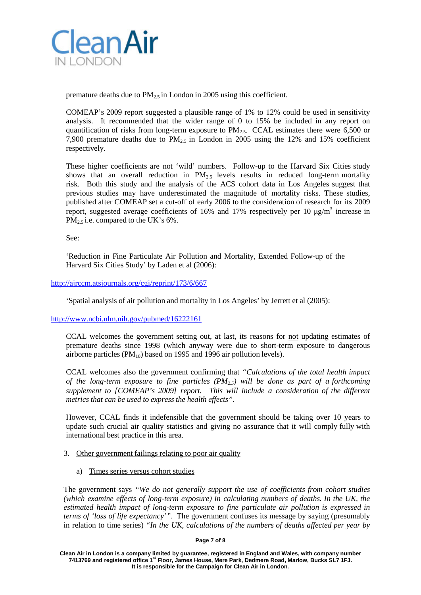

premature deaths due to  $PM_{2.5}$  in London in 2005 using this coefficient.

COMEAP's 2009 report suggested a plausible range of 1% to 12% could be used in sensitivity analysis. It recommended that the wider range of 0 to 15% be included in any report on quantification of risks from long-term exposure to  $PM<sub>2.5</sub>$ . CCAL estimates there were 6,500 or 7,900 premature deaths due to  $PM_{2.5}$  in London in 2005 using the 12% and 15% coefficient respectively.

These higher coefficients are not 'wild' numbers. Follow-up to the Harvard Six Cities study shows that an overall reduction in  $PM_{2.5}$  levels results in reduced long-term mortality risk. Both this study and the analysis of the ACS cohort data in Los Angeles suggest that previous studies may have underestimated the magnitude of mortality risks. These studies, published after COMEAP set a cut-off of early 2006 to the consideration of research for its 2009 report, suggested average coefficients of 16% and 17% respectively per 10  $\mu$ g/m<sup>3</sup> increase in  $PM<sub>2.5</sub>$  i.e. compared to the UK's 6%.

See:

'Reduction in Fine Particulate Air Pollution and Mortality, Extended Follow-up of the Harvard Six Cities Study' by Laden et al (2006):

# <http://ajrccm.atsjournals.org/cgi/reprint/173/6/667>

'Spatial analysis of air pollution and mortality in Los Angeles' by Jerrett et al (2005):

### <http://www.ncbi.nlm.nih.gov/pubmed/16222161>

CCAL welcomes the government setting out, at last, its reasons for not updating estimates of premature deaths since 1998 (which anyway were due to short-term exposure to dangerous airborne particles  $(PM_{10})$  based on 1995 and 1996 air pollution levels).

CCAL welcomes also the government confirming that *"Calculations of the total health impact of the long-term exposure to fine particles (PM2.5) will be done as part of a forthcoming supplement to [COMEAP's 2009] report. This will include a consideration of the different metrics that can be used to express the health effects".*

However, CCAL finds it indefensible that the government should be taking over 10 years to update such crucial air quality statistics and giving no assurance that it will comply fully with international best practice in this area.

- 3. Other government failings relating to poor air quality
	- a) Times series versus cohort studies

The government says *"We do not generally support the use of coefficients from cohort studies (which examine effects of long-term exposure) in calculating numbers of deaths. In the UK, the estimated health impact of long-term exposure to fine particulate air pollution is expressed in terms of 'loss of life expectancy'"*. The government confuses its message by saying (presumably in relation to time series) *"In the UK, calculations of the numbers of deaths affected per year by*

**Page 7 of 8**